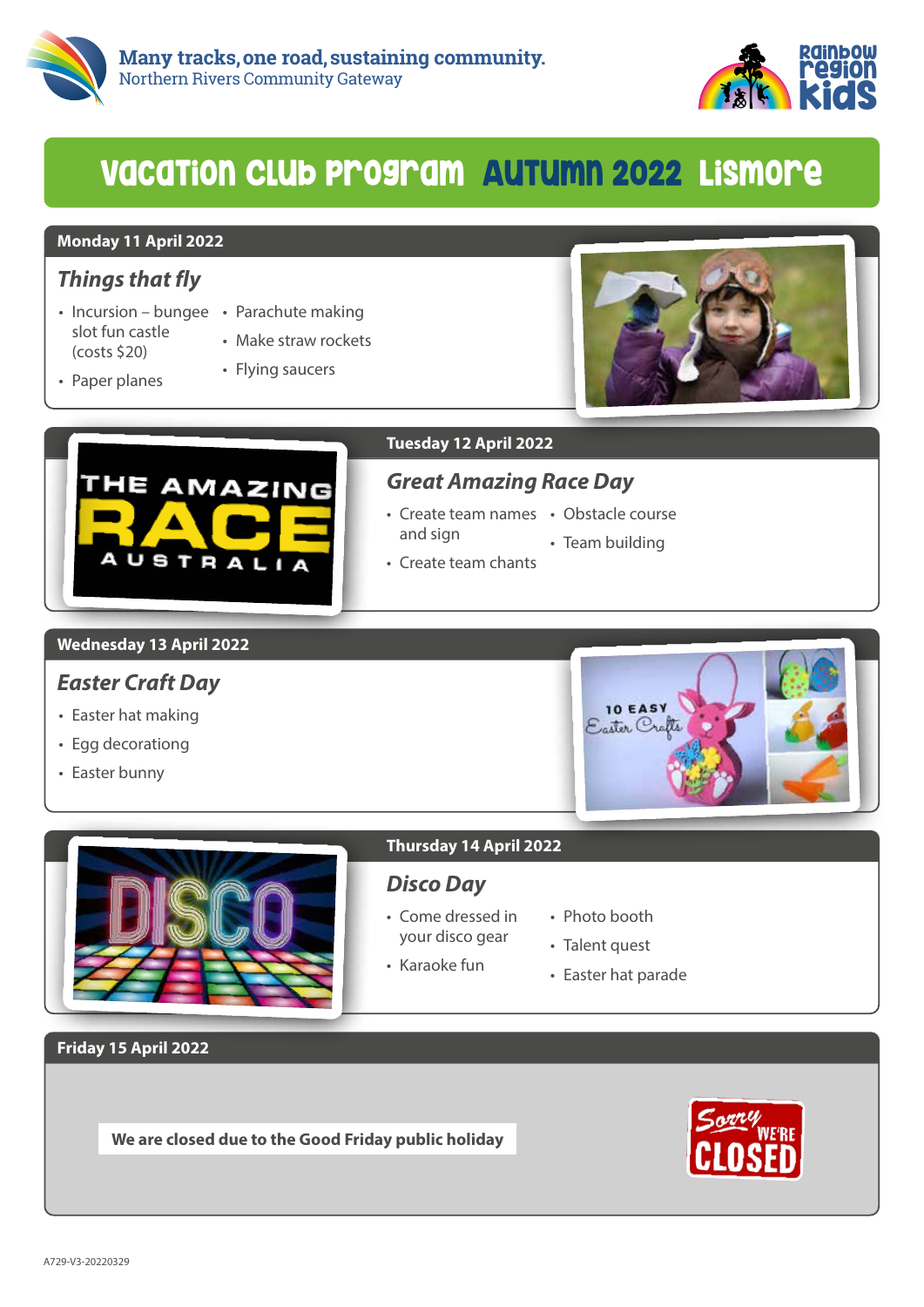



## VacaTion Club program AuTumn 2022 Lismore

#### **Monday 11 April 2022**

## *Things that fly*

- Incursion bungee Parachute making slot fun castle (costs \$20)
	-
	- Make straw rockets

• Flying saucers

• Paper planes



THE AMAZING

AUSTRALIA

#### **Tuesday 12 April 2022**

## *Great Amazing Race Day*

- Create team names Obstacle course and sign
	-
	- Team building
- Create team chants

#### **Wednesday 13 April 2022**

## *Easter Craft Day*

- Easter hat making
- Egg decorationg
- Easter bunny





## *Disco Day*

- Come dressed in your disco gear
- Photo booth
- Talent quest
- Karaoke fun
- Easter hat parade

**Friday 15 April 2022**

**We are closed due to the Good Friday public holiday**

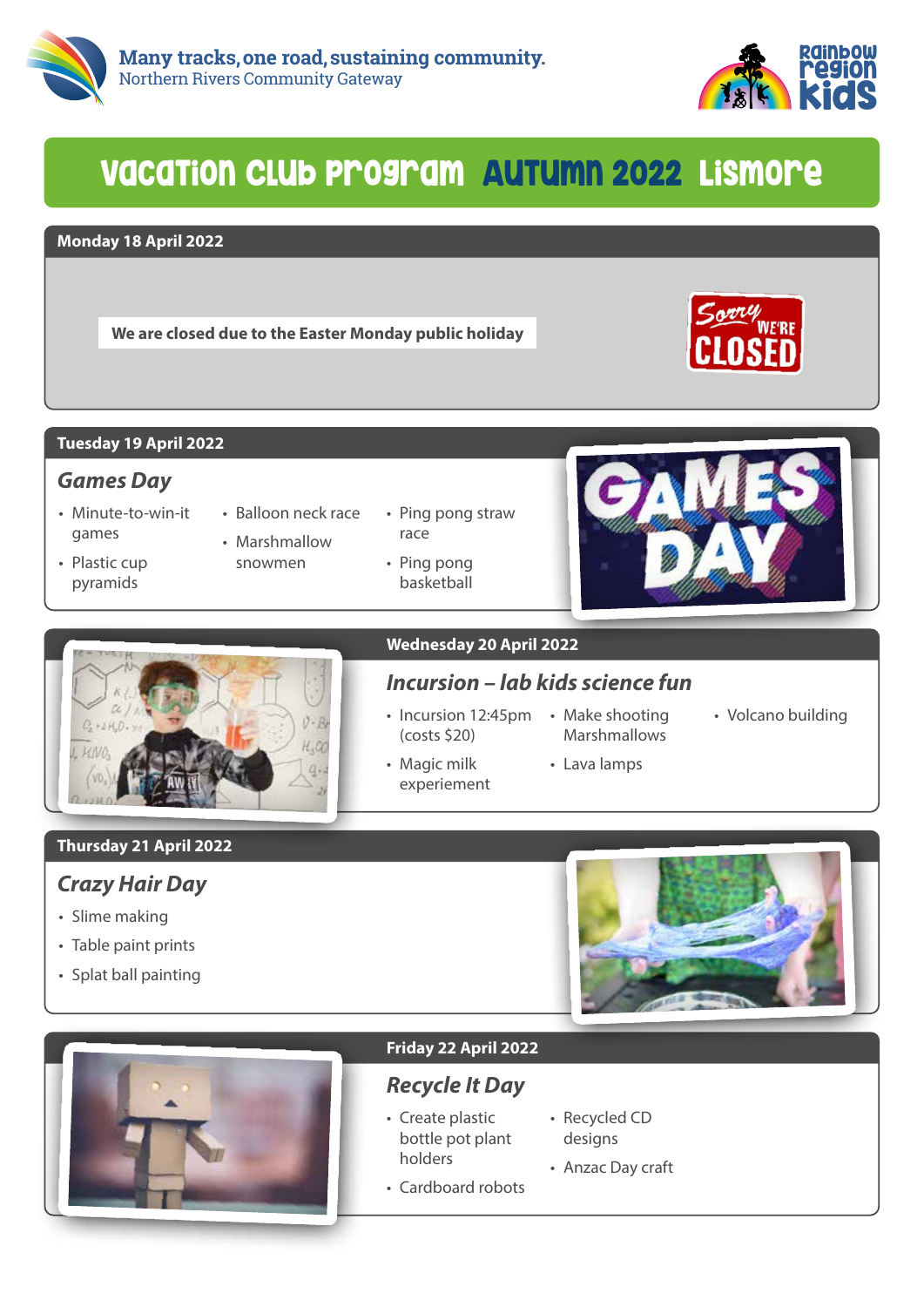



## VacaTion Club program AuTumn 2022 Lismore

#### **Monday 18 April 2022**

**We are closed due to the Easter Monday public holiday**



### **Tuesday 19 April 2022**

## *Games Day*

- Minute-to-win-it games
- Plastic cup pyramids
- Balloon neck race • Marshmallow
- snowmen
- Ping pong straw race
- Ping pong basketball





#### **Wednesday 20 April 2022**

## *Incursion – lab kids science fun*

• Incursion 12:45pm • Make shooting (costs \$20)

• Magic milk experiement Marshmallows

• Lava lamps

• Volcano building

**Thursday 21 April 2022**

## *Crazy Hair Day*

- Slime making
- Table paint prints
- Splat ball painting





### **Friday 22 April 2022**

## *Recycle It Day*

- Create plastic bottle pot plant holders
- Recycled CD designs
- Cardboard robots • Anzac Day craft